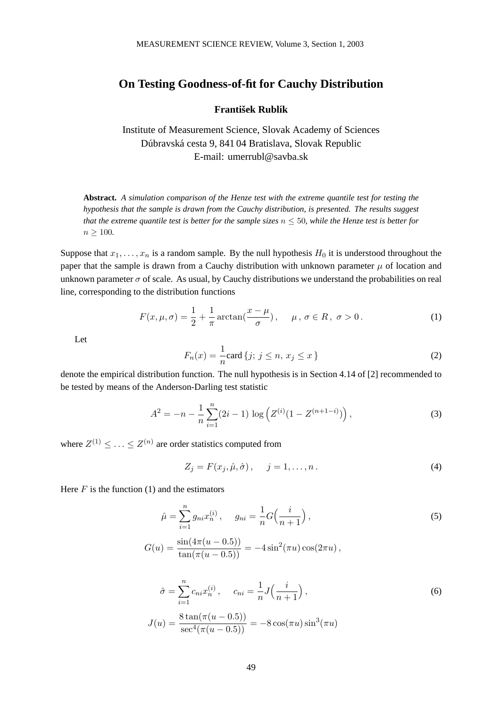## **On Testing Goodness-of-fit for Cauchy Distribution**

## **František Rublík**

Institute of Measurement Science, Slovak Academy of Sciences Dúbravská cesta 9, 841 04 Bratislava, Slovak Republic E-mail: umerrubl@savba.sk

**Abstract.** *A simulation comparison of the Henze test with the extreme quantile test for testing the hypothesis that the sample is drawn from the Cauchy distribution, is presented. The results suggest that the extreme quantile test is better for the sample sizes*  $n \leq 50$ *, while the Henze test is better for*  $n \geq 100$ .

Suppose that  $x_1, \ldots, x_n$  is a random sample. By the null hypothesis  $H_0$  it is understood throughout the paper that the sample is drawn from a Cauchy distribution with unknown parameter  $\mu$  of location and unknown parameter  $\sigma$  of scale. As usual, by Cauchy distributions we understand the probabilities on real line, corresponding to the distribution functions

$$
F(x, \mu, \sigma) = \frac{1}{2} + \frac{1}{\pi} \arctan\left(\frac{x - \mu}{\sigma}\right), \quad \mu, \sigma \in R, \sigma > 0.
$$
 (1)

Let

$$
F_n(x) = \frac{1}{n} \text{card} \{ j; \ j \le n, \ x_j \le x \}
$$
 (2)

denote the empirical distribution function. The null hypothesis is in Section 4.14 of [2] recommended to be tested by means of the Anderson-Darling test statistic

$$
A^{2} = -n - \frac{1}{n} \sum_{i=1}^{n} (2i - 1) \log \left( Z^{(i)} (1 - Z^{(n+1-i)}) \right), \tag{3}
$$

where  $Z^{(1)} \leq \ldots \leq Z^{(n)}$  are order statistics computed from

$$
Z_j = F(x_j, \hat{\mu}, \hat{\sigma}), \quad j = 1, \dots, n. \tag{4}
$$

Here  $F$  is the function (1) and the estimators

$$
\hat{\mu} = \sum_{i=1}^{n} g_{ni} x_n^{(i)}, \quad g_{ni} = \frac{1}{n} G\Big(\frac{i}{n+1}\Big),\tag{5}
$$

$$
G(u) = \frac{\sin(4\pi(u - 0.5))}{\tan(\pi(u - 0.5))} = -4\sin^2(\pi u)\cos(2\pi u),
$$

$$
\hat{\sigma} = \sum_{i=1}^{n} c_{ni} x_n^{(i)}, \qquad c_{ni} = \frac{1}{n} J\left(\frac{i}{n+1}\right),
$$
  
\n
$$
J(u) = \frac{8 \tan(\pi(u - 0.5))}{\sec^4(\pi(u - 0.5))} = -8 \cos(\pi u) \sin^3(\pi u)
$$
\n(6)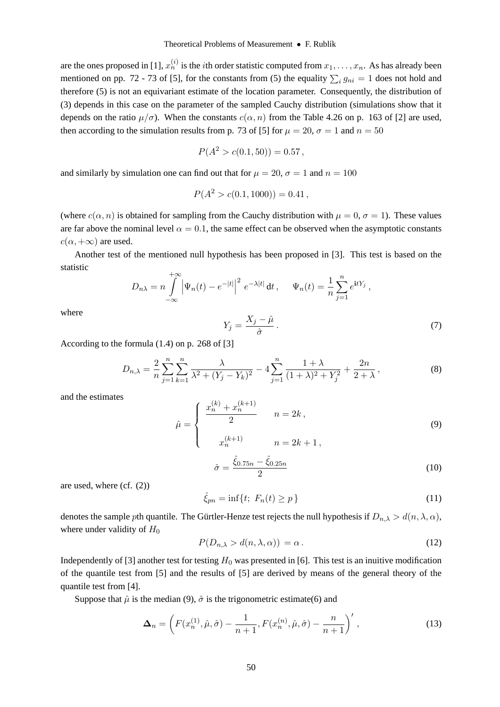are the ones proposed in [1],  $x_n^{(i)}$  is the *i*th order statistic computed from  $x_1,\ldots,x_n.$  As has already been mentioned on pp. 72 - 73 of [5], for the constants from (5) the equality  $\sum_i g_{ni} = 1$  does not hold and therefore (5) is not an equivariant estimate of the location accounts. Consequently, the distribution of therefore (5) is not an equivariant estimate of the location parameter. Consequently, the distribution of (3) depends in this case on the parameter of the sampled Cauchy distribution (simulations show that it depends on the ratio  $\mu/\sigma$ ). When the constants  $c(\alpha, n)$  from the Table 4.26 on p. 163 of [2] are used, then according to the simulation results from p. 73 of [5] for  $\mu = 20$ ,  $\sigma = 1$  and  $n = 50$ 

$$
P(A^2 > c(0.1, 50)) = 0.57,
$$

and similarly by simulation one can find out that for  $\mu = 20$ ,  $\sigma = 1$  and  $n = 100$ 

$$
P(A^2 > c(0.1, 1000)) = 0.41,
$$

(where  $c(\alpha, n)$  is obtained for sampling from the Cauchy distribution with  $\mu = 0, \sigma = 1$ ). These values are far above the nominal level  $\alpha = 0.1$ , the same effect can be observed when the asymptotic constants  $c(\alpha, +\infty)$  are used.

Another test of the mentioned null hypothesis has been proposed in [3]. This test is based on the statistic

$$
D_{n\lambda} = n \int_{-\infty}^{+\infty} \left| \Psi_n(t) - e^{-|t|} \right|^2 e^{-\lambda |t|} dt, \quad \Psi_n(t) = \frac{1}{n} \sum_{j=1}^n e^{itY_j},
$$

where

$$
Y_j = \frac{X_j - \hat{\mu}}{\hat{\sigma}}.
$$
\n(7)

According to the formula (1.4) on p. 268 of [3]

$$
D_{n,\lambda} = \frac{2}{n} \sum_{j=1}^{n} \sum_{k=1}^{n} \frac{\lambda}{\lambda^2 + (Y_j - Y_k)^2} - 4 \sum_{j=1}^{n} \frac{1 + \lambda}{(1 + \lambda)^2 + Y_j^2} + \frac{2n}{2 + \lambda},
$$
 (8)

and the estimates

$$
\hat{\mu} = \begin{cases}\n\frac{x_n^{(k)} + x_n^{(k+1)}}{2} & n = 2k, \\
x_n^{(k+1)} & n = 2k + 1, \\
\hat{\sigma} = \frac{\hat{\xi}_{0.75n} - \hat{\xi}_{0.25n}}{2}\n\end{cases}
$$
\n(9)

are used, where (cf. (2))

$$
\xi_{pn} = \inf\{t; F_n(t) \ge p\}
$$
\n(11)

denotes the sample pth quantile. The Gürtler-Henze test rejects the null hypothesis if  $D_{n,\lambda} > d(n,\lambda,\alpha)$ , where under validity of  $H_0$ 

$$
P(D_{n,\lambda} > d(n,\lambda,\alpha)) = \alpha.
$$
 (12)

Independently of [3] another test for testing  $H_0$  was presented in [6]. This test is an inuitive modification of the quantile test from [5] and the results of [5] are derived by means of the general theory of the quantile test from [4].

Suppose that  $\hat{\mu}$  is the median (9),  $\hat{\sigma}$  is the trigonometric estimate(6) and

$$
\Delta_n = \left( F(x_n^{(1)}, \hat{\mu}, \hat{\sigma}) - \frac{1}{n+1}, F(x_n^{(n)}, \hat{\mu}, \hat{\sigma}) - \frac{n}{n+1} \right)',\tag{13}
$$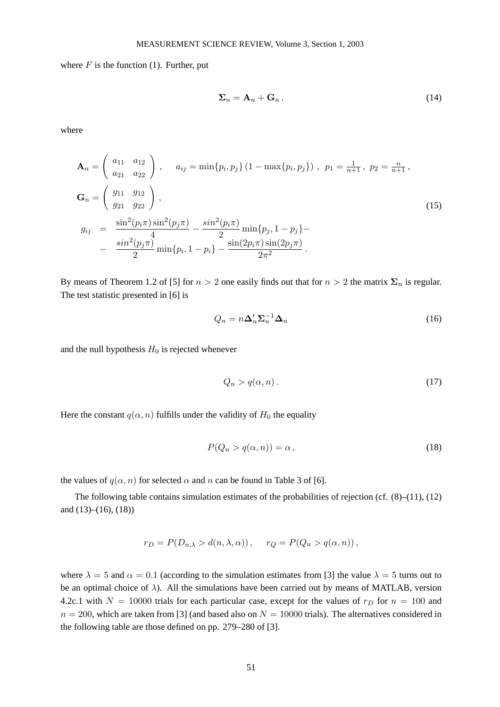where  $F$  is the function (1). Further, put

$$
\Sigma_n = \mathbf{A}_n + \mathbf{G}_n, \tag{14}
$$

where

$$
\mathbf{A}_{n} = \begin{pmatrix} a_{11} & a_{12} \\ a_{21} & a_{22} \end{pmatrix}, \quad a_{ij} = \min\{p_{i}, p_{j}\} (1 - \max\{p_{i}, p_{j}\}), \quad p_{1} = \frac{1}{n+1}, \quad p_{2} = \frac{n}{n+1},
$$
  
\n
$$
\mathbf{G}_{n} = \begin{pmatrix} g_{11} & g_{12} \\ g_{21} & g_{22} \end{pmatrix},
$$
  
\n
$$
g_{ij} = \frac{\sin^{2}(p_{i}\pi)\sin^{2}(p_{j}\pi)}{4} - \frac{\sin^{2}(p_{i}\pi)}{2}\min\{p_{j}, 1 - p_{j}\} - \frac{\sin(2p_{i}\pi)\sin(2p_{j}\pi)}{2} - \frac{\sin^{2}(p_{j}\pi)}{2}\min\{p_{i}, 1 - p_{i}\} - \frac{\sin(2p_{i}\pi)\sin(2p_{j}\pi)}{2\pi^{2}}.
$$
\n(15)

By means of Theorem 1.2 of [5] for  $n > 2$  one easily finds out that for  $n > 2$  the matrix  $\Sigma_n$  is regular. The test statistic presented in [6] is

$$
Q_n = n\Delta'_n \Sigma_n^{-1} \Delta_n \tag{16}
$$

and the null hypothesis  $H_0$  is rejected whenever

$$
Q_n > q(\alpha, n). \tag{17}
$$

Here the constant  $q(\alpha, n)$  fulfills under the validity of  $H_0$  the equality

$$
P(Q_n > q(\alpha, n)) = \alpha, \qquad (18)
$$

the values of  $q(\alpha, n)$  for selected  $\alpha$  and n can be found in Table 3 of [6].

The following table contains simulation estimates of the probabilities of rejection (cf.  $(8)$ – $(11)$ ,  $(12)$ ) and (13)–(16), (18))

$$
r_D = P(D_{n,\lambda} > d(n,\lambda,\alpha)), \quad r_Q = P(Q_n > q(\alpha,n)),
$$

where  $\lambda = 5$  and  $\alpha = 0.1$  (according to the simulation estimates from [3] the value  $\lambda = 5$  turns out to be an optimal choice of  $\lambda$ ). All the simulations have been carried out by means of MATLAB, version 4.2c.1 with  $N = 10000$  trials for each particular case, except for the values of  $r<sub>D</sub>$  for  $n = 100$  and  $n = 200$ , which are taken from [3] (and based also on  $N = 10000$  trials). The alternatives considered in the following table are those defined on pp. 279–280 of [3].